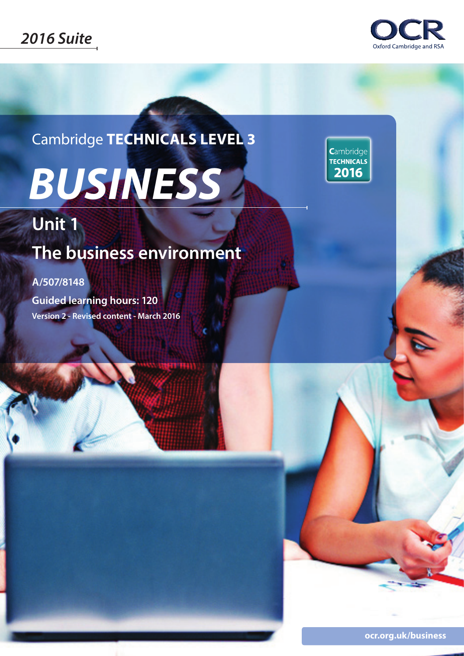

Cambridge **TECHNICALS LEVEL 3**

# *BUSINESS*

Cambridge **TECHNICALS** 2016

# **Unit 1**

# **The business environment**

### **A/507/8148**

**Guided learning hours: 120 Version 2 - Revised content - March 2016**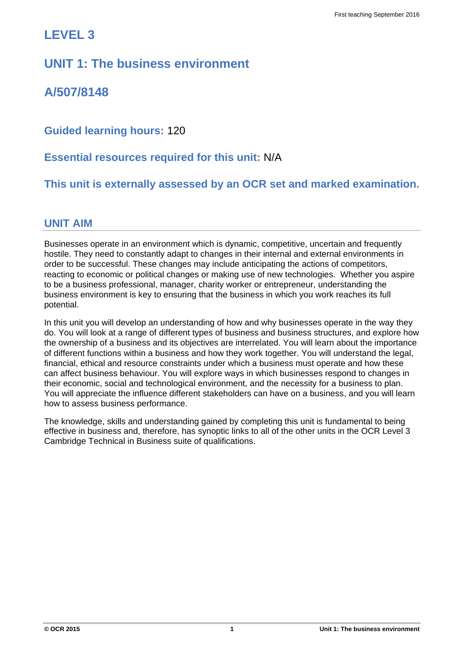## **LEVEL 3**

## **UNIT 1: The business environment**

**A/507/8148**

**Guided learning hours:** 120

**Essential resources required for this unit:** N/A

**This unit is externally assessed by an OCR set and marked examination.**

#### **UNIT AIM**

Businesses operate in an environment which is dynamic, competitive, uncertain and frequently hostile. They need to constantly adapt to changes in their internal and external environments in order to be successful. These changes may include anticipating the actions of competitors, reacting to economic or political changes or making use of new technologies. Whether you aspire to be a business professional, manager, charity worker or entrepreneur, understanding the business environment is key to ensuring that the business in which you work reaches its full potential.

In this unit you will develop an understanding of how and why businesses operate in the way they do. You will look at a range of different types of business and business structures, and explore how the ownership of a business and its objectives are interrelated. You will learn about the importance of different functions within a business and how they work together. You will understand the legal, financial, ethical and resource constraints under which a business must operate and how these can affect business behaviour. You will explore ways in which businesses respond to changes in their economic, social and technological environment, and the necessity for a business to plan. You will appreciate the influence different stakeholders can have on a business, and you will learn how to assess business performance.

The knowledge, skills and understanding gained by completing this unit is fundamental to being effective in business and, therefore, has synoptic links to all of the other units in the OCR Level 3 Cambridge Technical in Business suite of qualifications.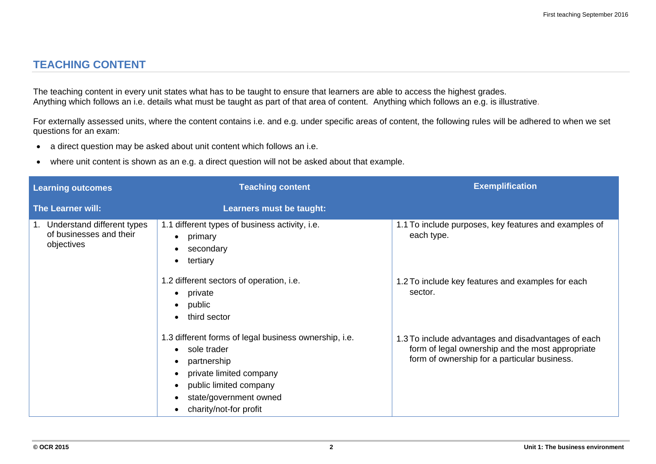#### **TEACHING CONTENT**

The teaching content in every unit states what has to be taught to ensure that learners are able to access the highest grades. Anything which follows an i.e. details what must be taught as part of that area of content. Anything which follows an e.g. is illustrative.

For externally assessed units, where the content contains i.e. and e.g. under specific areas of content, the following rules will be adhered to when we set questions for an exam:

- a direct question may be asked about unit content which follows an i.e.
- where unit content is shown as an e.g. a direct question will not be asked about that example.

| <b>Learning outcomes</b>                                               | <b>Teaching content</b>                                                                                                                                                                                                                          | <b>Exemplification</b>                                                                                                                                  |
|------------------------------------------------------------------------|--------------------------------------------------------------------------------------------------------------------------------------------------------------------------------------------------------------------------------------------------|---------------------------------------------------------------------------------------------------------------------------------------------------------|
| <b>The Learner will:</b>                                               | Learners must be taught:                                                                                                                                                                                                                         |                                                                                                                                                         |
| 1. Understand different types<br>of businesses and their<br>objectives | 1.1 different types of business activity, i.e.<br>primary<br>$\bullet$<br>secondary<br>٠<br>tertiary<br>$\bullet$                                                                                                                                | 1.1 To include purposes, key features and examples of<br>each type.                                                                                     |
|                                                                        | 1.2 different sectors of operation, i.e.<br>private<br>٠<br>public<br>$\bullet$<br>third sector<br>$\bullet$                                                                                                                                     | 1.2 To include key features and examples for each<br>sector.                                                                                            |
|                                                                        | 1.3 different forms of legal business ownership, i.e.<br>sole trader<br>$\bullet$<br>partnership<br>$\bullet$<br>private limited company<br>$\bullet$<br>public limited company<br>$\bullet$<br>state/government owned<br>charity/not-for profit | 1.3 To include advantages and disadvantages of each<br>form of legal ownership and the most appropriate<br>form of ownership for a particular business. |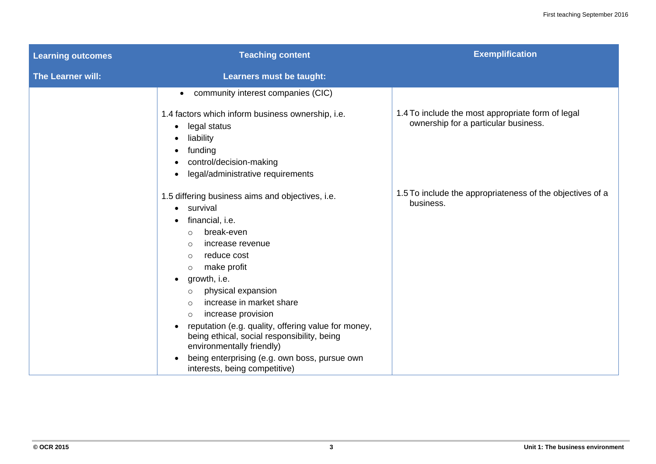| <b>Learning outcomes</b> | <b>Teaching content</b>                                                                                                                                                                                                                                                                                                                                                                                                                                                                                                                                          | <b>Exemplification</b>                                                                    |
|--------------------------|------------------------------------------------------------------------------------------------------------------------------------------------------------------------------------------------------------------------------------------------------------------------------------------------------------------------------------------------------------------------------------------------------------------------------------------------------------------------------------------------------------------------------------------------------------------|-------------------------------------------------------------------------------------------|
| The Learner will:        | Learners must be taught:                                                                                                                                                                                                                                                                                                                                                                                                                                                                                                                                         |                                                                                           |
|                          | community interest companies (CIC)<br>$\bullet$                                                                                                                                                                                                                                                                                                                                                                                                                                                                                                                  |                                                                                           |
|                          | 1.4 factors which inform business ownership, i.e.<br>legal status<br>$\bullet$<br>liability<br>funding<br>control/decision-making<br>legal/administrative requirements<br>٠                                                                                                                                                                                                                                                                                                                                                                                      | 1.4 To include the most appropriate form of legal<br>ownership for a particular business. |
|                          | 1.5 differing business aims and objectives, i.e.<br>• survival<br>financial, i.e.<br>break-even<br>$\circ$<br>increase revenue<br>$\circ$<br>reduce cost<br>$\circ$<br>make profit<br>$\circ$<br>growth, i.e.<br>٠<br>physical expansion<br>$\circ$<br>increase in market share<br>$\bigcirc$<br>increase provision<br>$\circ$<br>reputation (e.g. quality, offering value for money,<br>being ethical, social responsibility, being<br>environmentally friendly)<br>being enterprising (e.g. own boss, pursue own<br>$\bullet$<br>interests, being competitive) | 1.5 To include the appropriateness of the objectives of a<br>business.                    |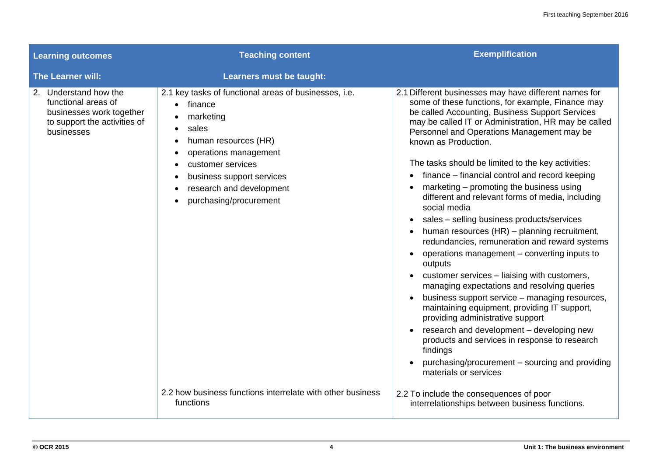| <b>Learning outcomes</b>                                                                                               | <b>Teaching content</b>                                                                                                                                                                                                                                   | <b>Exemplification</b>                                                                                                                                                                                                                                                                                                                                                                                                                                                                                                                                                                                                                                                                                                                                                                                                                                                                                                                                                                                                                                                                                                                                                                                       |
|------------------------------------------------------------------------------------------------------------------------|-----------------------------------------------------------------------------------------------------------------------------------------------------------------------------------------------------------------------------------------------------------|--------------------------------------------------------------------------------------------------------------------------------------------------------------------------------------------------------------------------------------------------------------------------------------------------------------------------------------------------------------------------------------------------------------------------------------------------------------------------------------------------------------------------------------------------------------------------------------------------------------------------------------------------------------------------------------------------------------------------------------------------------------------------------------------------------------------------------------------------------------------------------------------------------------------------------------------------------------------------------------------------------------------------------------------------------------------------------------------------------------------------------------------------------------------------------------------------------------|
| The Learner will:                                                                                                      | <b>Learners must be taught:</b>                                                                                                                                                                                                                           |                                                                                                                                                                                                                                                                                                                                                                                                                                                                                                                                                                                                                                                                                                                                                                                                                                                                                                                                                                                                                                                                                                                                                                                                              |
| 2. Understand how the<br>functional areas of<br>businesses work together<br>to support the activities of<br>businesses | 2.1 key tasks of functional areas of businesses, i.e.<br>$\bullet$ finance<br>marketing<br>sales<br>human resources (HR)<br>operations management<br>customer services<br>business support services<br>research and development<br>purchasing/procurement | 2.1 Different businesses may have different names for<br>some of these functions, for example, Finance may<br>be called Accounting, Business Support Services<br>may be called IT or Administration, HR may be called<br>Personnel and Operations Management may be<br>known as Production.<br>The tasks should be limited to the key activities:<br>finance - financial control and record keeping<br>marketing – promoting the business using<br>different and relevant forms of media, including<br>social media<br>sales - selling business products/services<br>$\bullet$<br>human resources (HR) - planning recruitment,<br>redundancies, remuneration and reward systems<br>operations management - converting inputs to<br>$\bullet$<br>outputs<br>customer services - liaising with customers,<br>managing expectations and resolving queries<br>business support service - managing resources,<br>$\bullet$<br>maintaining equipment, providing IT support,<br>providing administrative support<br>research and development - developing new<br>products and services in response to research<br>findings<br>purchasing/procurement – sourcing and providing<br>$\bullet$<br>materials or services |
|                                                                                                                        | 2.2 how business functions interrelate with other business<br>functions                                                                                                                                                                                   | 2.2 To include the consequences of poor<br>interrelationships between business functions.                                                                                                                                                                                                                                                                                                                                                                                                                                                                                                                                                                                                                                                                                                                                                                                                                                                                                                                                                                                                                                                                                                                    |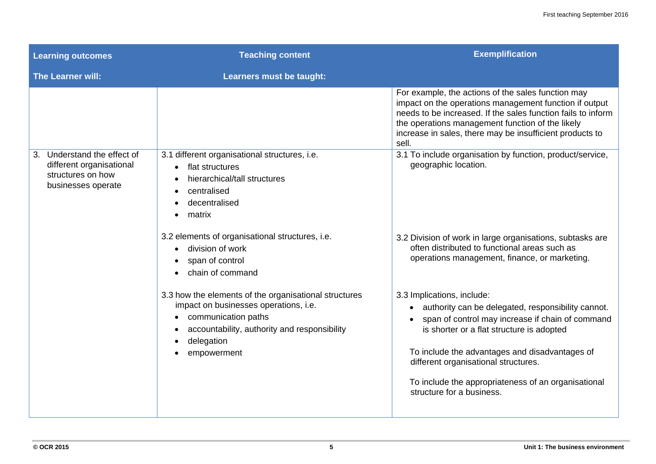| <b>Learning outcomes</b>                                                                              | <b>Teaching content</b>                                                                                                                                                                                           | <b>Exemplification</b>                                                                                                                                                                                                                                                                                                                                                                    |
|-------------------------------------------------------------------------------------------------------|-------------------------------------------------------------------------------------------------------------------------------------------------------------------------------------------------------------------|-------------------------------------------------------------------------------------------------------------------------------------------------------------------------------------------------------------------------------------------------------------------------------------------------------------------------------------------------------------------------------------------|
| <b>The Learner will:</b>                                                                              | Learners must be taught:                                                                                                                                                                                          |                                                                                                                                                                                                                                                                                                                                                                                           |
|                                                                                                       |                                                                                                                                                                                                                   | For example, the actions of the sales function may<br>impact on the operations management function if output<br>needs to be increased. If the sales function fails to inform<br>the operations management function of the likely<br>increase in sales, there may be insufficient products to<br>sell.                                                                                     |
| Understand the effect of<br>3.<br>different organisational<br>structures on how<br>businesses operate | 3.1 different organisational structures, i.e.<br>flat structures<br>hierarchical/tall structures<br>centralised<br>decentralised<br>matrix<br>3.2 elements of organisational structures, i.e.<br>division of work | 3.1 To include organisation by function, product/service,<br>geographic location.<br>3.2 Division of work in large organisations, subtasks are<br>often distributed to functional areas such as                                                                                                                                                                                           |
|                                                                                                       | span of control<br>chain of command                                                                                                                                                                               | operations management, finance, or marketing.                                                                                                                                                                                                                                                                                                                                             |
|                                                                                                       | 3.3 how the elements of the organisational structures<br>impact on businesses operations, i.e.<br>communication paths<br>accountability, authority and responsibility<br>delegation<br>empowerment                | 3.3 Implications, include:<br>authority can be delegated, responsibility cannot.<br>$\bullet$<br>span of control may increase if chain of command<br>$\bullet$<br>is shorter or a flat structure is adopted<br>To include the advantages and disadvantages of<br>different organisational structures.<br>To include the appropriateness of an organisational<br>structure for a business. |
|                                                                                                       |                                                                                                                                                                                                                   |                                                                                                                                                                                                                                                                                                                                                                                           |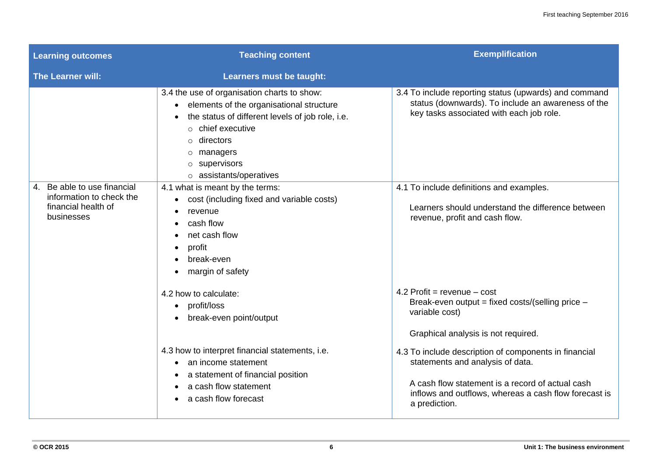| <b>Learning outcomes</b>                                                                     | <b>Teaching content</b>                                                                                                                                                                                                                                                        | <b>Exemplification</b>                                                                                                                                                                                                  |
|----------------------------------------------------------------------------------------------|--------------------------------------------------------------------------------------------------------------------------------------------------------------------------------------------------------------------------------------------------------------------------------|-------------------------------------------------------------------------------------------------------------------------------------------------------------------------------------------------------------------------|
| <b>The Learner will:</b>                                                                     | Learners must be taught:                                                                                                                                                                                                                                                       |                                                                                                                                                                                                                         |
|                                                                                              | 3.4 the use of organisation charts to show:<br>elements of the organisational structure<br>$\bullet$<br>the status of different levels of job role, i.e.<br>$\circ$ chief executive<br>$\circ$ directors<br>$\circ$ managers<br>$\circ$ supervisors<br>o assistants/operatives | 3.4 To include reporting status (upwards) and command<br>status (downwards). To include an awareness of the<br>key tasks associated with each job role.                                                                 |
| 4. Be able to use financial<br>information to check the<br>financial health of<br>businesses | 4.1 what is meant by the terms:<br>cost (including fixed and variable costs)<br>$\bullet$<br>revenue<br>cash flow<br>$\bullet$<br>net cash flow<br>profit<br>$\bullet$<br>break-even<br>margin of safety                                                                       | 4.1 To include definitions and examples.<br>Learners should understand the difference between<br>revenue, profit and cash flow.                                                                                         |
|                                                                                              | 4.2 how to calculate:<br>profit/loss<br>$\bullet$<br>break-even point/output<br>$\bullet$                                                                                                                                                                                      | 4.2 Profit = revenue $-$ cost<br>Break-even output = fixed costs/(selling price -<br>variable cost)<br>Graphical analysis is not required.                                                                              |
|                                                                                              | 4.3 how to interpret financial statements, i.e.<br>an income statement<br>$\bullet$<br>a statement of financial position<br>a cash flow statement<br>$\bullet$<br>a cash flow forecast                                                                                         | 4.3 To include description of components in financial<br>statements and analysis of data.<br>A cash flow statement is a record of actual cash<br>inflows and outflows, whereas a cash flow forecast is<br>a prediction. |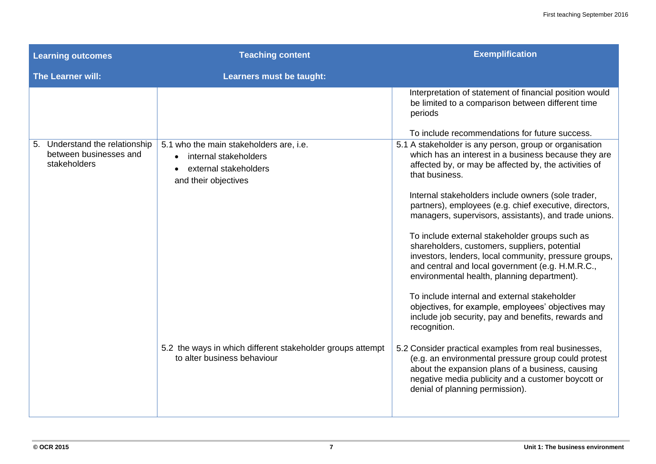| <b>Learning outcomes</b>                                                 | <b>Teaching content</b>                                                                                                        | <b>Exemplification</b>                                                                                                                                                                                                                                                                                                                                                                                                                                                                                                                                                                                                                                                                                                                                                                                                                                                                                                                                                                      |
|--------------------------------------------------------------------------|--------------------------------------------------------------------------------------------------------------------------------|---------------------------------------------------------------------------------------------------------------------------------------------------------------------------------------------------------------------------------------------------------------------------------------------------------------------------------------------------------------------------------------------------------------------------------------------------------------------------------------------------------------------------------------------------------------------------------------------------------------------------------------------------------------------------------------------------------------------------------------------------------------------------------------------------------------------------------------------------------------------------------------------------------------------------------------------------------------------------------------------|
| The Learner will:                                                        | Learners must be taught:                                                                                                       |                                                                                                                                                                                                                                                                                                                                                                                                                                                                                                                                                                                                                                                                                                                                                                                                                                                                                                                                                                                             |
| 5. Understand the relationship<br>between businesses and<br>stakeholders | 5.1 who the main stakeholders are, i.e.<br>internal stakeholders<br>external stakeholders<br>$\bullet$<br>and their objectives | Interpretation of statement of financial position would<br>be limited to a comparison between different time<br>periods<br>To include recommendations for future success.<br>5.1 A stakeholder is any person, group or organisation<br>which has an interest in a business because they are<br>affected by, or may be affected by, the activities of<br>that business.<br>Internal stakeholders include owners (sole trader,<br>partners), employees (e.g. chief executive, directors,<br>managers, supervisors, assistants), and trade unions.<br>To include external stakeholder groups such as<br>shareholders, customers, suppliers, potential<br>investors, lenders, local community, pressure groups,<br>and central and local government (e.g. H.M.R.C.,<br>environmental health, planning department).<br>To include internal and external stakeholder<br>objectives, for example, employees' objectives may<br>include job security, pay and benefits, rewards and<br>recognition. |
|                                                                          | 5.2 the ways in which different stakeholder groups attempt<br>to alter business behaviour                                      | 5.2 Consider practical examples from real businesses,<br>(e.g. an environmental pressure group could protest<br>about the expansion plans of a business, causing<br>negative media publicity and a customer boycott or<br>denial of planning permission).                                                                                                                                                                                                                                                                                                                                                                                                                                                                                                                                                                                                                                                                                                                                   |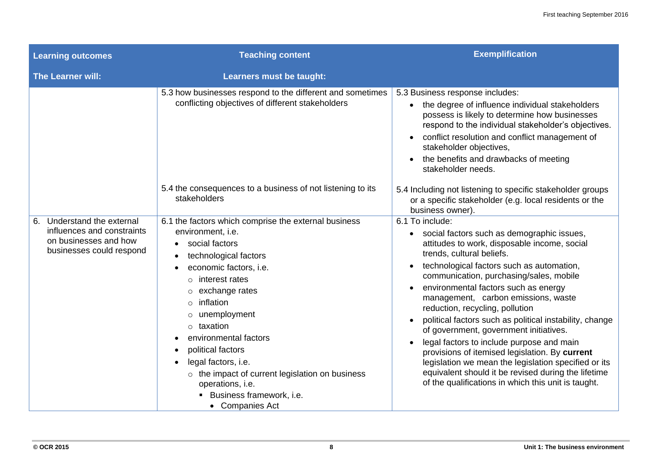| <b>Learning outcomes</b>                                                                                      | <b>Teaching content</b>                                                                                                                                                                                                                                                                                                                                                                                                                      | <b>Exemplification</b>                                                                                                                                                                                                                                                                                                                                                                                                                                                                                                                                                                                                                                                                                                                                                |
|---------------------------------------------------------------------------------------------------------------|----------------------------------------------------------------------------------------------------------------------------------------------------------------------------------------------------------------------------------------------------------------------------------------------------------------------------------------------------------------------------------------------------------------------------------------------|-----------------------------------------------------------------------------------------------------------------------------------------------------------------------------------------------------------------------------------------------------------------------------------------------------------------------------------------------------------------------------------------------------------------------------------------------------------------------------------------------------------------------------------------------------------------------------------------------------------------------------------------------------------------------------------------------------------------------------------------------------------------------|
| The Learner will:                                                                                             | Learners must be taught:                                                                                                                                                                                                                                                                                                                                                                                                                     |                                                                                                                                                                                                                                                                                                                                                                                                                                                                                                                                                                                                                                                                                                                                                                       |
|                                                                                                               | 5.3 how businesses respond to the different and sometimes<br>conflicting objectives of different stakeholders                                                                                                                                                                                                                                                                                                                                | 5.3 Business response includes:<br>• the degree of influence individual stakeholders<br>possess is likely to determine how businesses<br>respond to the individual stakeholder's objectives.<br>conflict resolution and conflict management of<br>stakeholder objectives,<br>the benefits and drawbacks of meeting<br>stakeholder needs.                                                                                                                                                                                                                                                                                                                                                                                                                              |
|                                                                                                               | 5.4 the consequences to a business of not listening to its<br>stakeholders                                                                                                                                                                                                                                                                                                                                                                   | 5.4 Including not listening to specific stakeholder groups<br>or a specific stakeholder (e.g. local residents or the<br>business owner).                                                                                                                                                                                                                                                                                                                                                                                                                                                                                                                                                                                                                              |
| 6. Understand the external<br>influences and constraints<br>on businesses and how<br>businesses could respond | 6.1 the factors which comprise the external business<br>environment, i.e.<br>social factors<br>technological factors<br>economic factors, i.e.<br>interest rates<br>$\circ$<br>exchange rates<br>inflation<br>$\circ$<br>unemployment<br>taxation<br>environmental factors<br>political factors<br>legal factors, i.e.<br>o the impact of current legislation on business<br>operations, i.e.<br>Business framework, i.e.<br>• Companies Act | 6.1 To include:<br>social factors such as demographic issues,<br>$\bullet$<br>attitudes to work, disposable income, social<br>trends, cultural beliefs.<br>technological factors such as automation,<br>communication, purchasing/sales, mobile<br>environmental factors such as energy<br>$\bullet$<br>management, carbon emissions, waste<br>reduction, recycling, pollution<br>political factors such as political instability, change<br>of government, government initiatives.<br>legal factors to include purpose and main<br>$\bullet$<br>provisions of itemised legislation. By current<br>legislation we mean the legislation specified or its<br>equivalent should it be revised during the lifetime<br>of the qualifications in which this unit is taught. |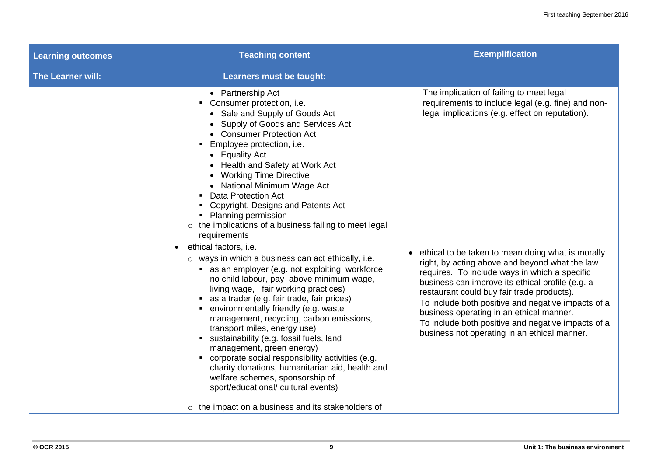| <b>Learning outcomes</b> | <b>Teaching content</b>                                                                                                                                                                                                                                                                                                                                                                                                                                                                                                                                                                                                                                                                                                                                                                                                                                                                                                                                                                                                                                                                                   | <b>Exemplification</b>                                                                                                                                                                                                                                                                                                                                                                                                                                                                                                                                                                                                |
|--------------------------|-----------------------------------------------------------------------------------------------------------------------------------------------------------------------------------------------------------------------------------------------------------------------------------------------------------------------------------------------------------------------------------------------------------------------------------------------------------------------------------------------------------------------------------------------------------------------------------------------------------------------------------------------------------------------------------------------------------------------------------------------------------------------------------------------------------------------------------------------------------------------------------------------------------------------------------------------------------------------------------------------------------------------------------------------------------------------------------------------------------|-----------------------------------------------------------------------------------------------------------------------------------------------------------------------------------------------------------------------------------------------------------------------------------------------------------------------------------------------------------------------------------------------------------------------------------------------------------------------------------------------------------------------------------------------------------------------------------------------------------------------|
| <b>The Learner will:</b> | Learners must be taught:                                                                                                                                                                                                                                                                                                                                                                                                                                                                                                                                                                                                                                                                                                                                                                                                                                                                                                                                                                                                                                                                                  |                                                                                                                                                                                                                                                                                                                                                                                                                                                                                                                                                                                                                       |
|                          | • Partnership Act<br>• Consumer protection, i.e.<br>• Sale and Supply of Goods Act<br>• Supply of Goods and Services Act<br>• Consumer Protection Act<br>Employee protection, i.e.<br>• Equality Act<br>• Health and Safety at Work Act<br>• Working Time Directive<br>• National Minimum Wage Act<br><b>Data Protection Act</b><br>Copyright, Designs and Patents Act<br><b>Planning permission</b><br>$\circ$ the implications of a business failing to meet legal<br>requirements<br>ethical factors, i.e.<br>$\circ$ ways in which a business can act ethically, i.e.<br>• as an employer (e.g. not exploiting workforce,<br>no child labour, pay above minimum wage,<br>living wage, fair working practices)<br>• as a trader (e.g. fair trade, fair prices)<br>• environmentally friendly (e.g. waste<br>management, recycling, carbon emissions,<br>transport miles, energy use)<br>sustainability (e.g. fossil fuels, land<br>management, green energy)<br>corporate social responsibility activities (e.g.<br>charity donations, humanitarian aid, health and<br>welfare schemes, sponsorship of | The implication of failing to meet legal<br>requirements to include legal (e.g. fine) and non-<br>legal implications (e.g. effect on reputation).<br>• ethical to be taken to mean doing what is morally<br>right, by acting above and beyond what the law<br>requires. To include ways in which a specific<br>business can improve its ethical profile (e.g. a<br>restaurant could buy fair trade products).<br>To include both positive and negative impacts of a<br>business operating in an ethical manner.<br>To include both positive and negative impacts of a<br>business not operating in an ethical manner. |
|                          | sport/educational/ cultural events)<br>$\circ$ the impact on a business and its stakeholders of                                                                                                                                                                                                                                                                                                                                                                                                                                                                                                                                                                                                                                                                                                                                                                                                                                                                                                                                                                                                           |                                                                                                                                                                                                                                                                                                                                                                                                                                                                                                                                                                                                                       |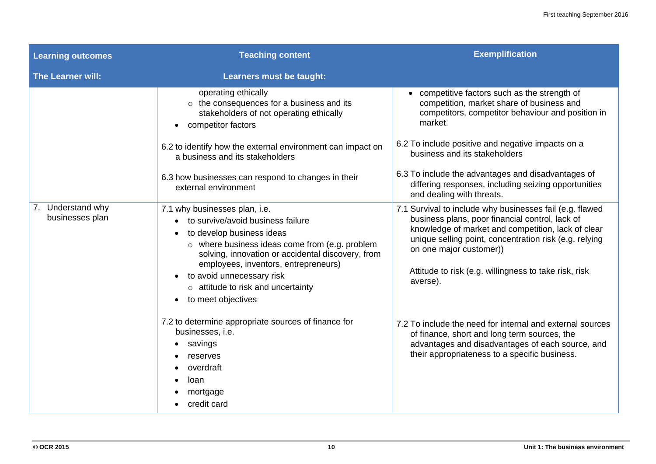| <b>Learning outcomes</b>             | <b>Teaching content</b>                                                                                                                                                                                                                                                                                                                                                              | <b>Exemplification</b>                                                                                                                                                                                                                                                                                                                                                                      |
|--------------------------------------|--------------------------------------------------------------------------------------------------------------------------------------------------------------------------------------------------------------------------------------------------------------------------------------------------------------------------------------------------------------------------------------|---------------------------------------------------------------------------------------------------------------------------------------------------------------------------------------------------------------------------------------------------------------------------------------------------------------------------------------------------------------------------------------------|
| The Learner will:                    | Learners must be taught:                                                                                                                                                                                                                                                                                                                                                             |                                                                                                                                                                                                                                                                                                                                                                                             |
|                                      | operating ethically<br>$\circ$ the consequences for a business and its<br>stakeholders of not operating ethically<br>competitor factors<br>$\bullet$<br>6.2 to identify how the external environment can impact on<br>a business and its stakeholders<br>6.3 how businesses can respond to changes in their<br>external environment                                                  | • competitive factors such as the strength of<br>competition, market share of business and<br>competitors, competitor behaviour and position in<br>market.<br>6.2 To include positive and negative impacts on a<br>business and its stakeholders<br>6.3 To include the advantages and disadvantages of<br>differing responses, including seizing opportunities<br>and dealing with threats. |
| 7. Understand why<br>businesses plan | 7.1 why businesses plan, i.e.<br>to survive/avoid business failure<br>to develop business ideas<br>$\bullet$<br>o where business ideas come from (e.g. problem<br>solving, innovation or accidental discovery, from<br>employees, inventors, entrepreneurs)<br>to avoid unnecessary risk<br>$\bullet$<br>$\circ$ attitude to risk and uncertainty<br>to meet objectives<br>$\bullet$ | 7.1 Survival to include why businesses fail (e.g. flawed<br>business plans, poor financial control, lack of<br>knowledge of market and competition, lack of clear<br>unique selling point, concentration risk (e.g. relying<br>on one major customer))<br>Attitude to risk (e.g. willingness to take risk, risk<br>averse).                                                                 |
|                                      | 7.2 to determine appropriate sources of finance for<br>businesses, i.e.<br>savings<br>reserves<br>overdraft<br>loan<br>mortgage<br>credit card                                                                                                                                                                                                                                       | 7.2 To include the need for internal and external sources<br>of finance, short and long term sources, the<br>advantages and disadvantages of each source, and<br>their appropriateness to a specific business.                                                                                                                                                                              |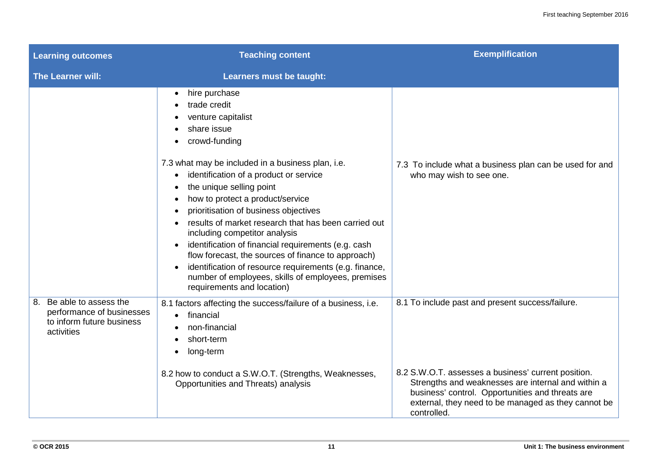| <b>Learning outcomes</b>                                                                         | <b>Teaching content</b>                                                                                                                                                                                                                                                                                                                                                                                                                                                                                                                                                                                                                                                   | <b>Exemplification</b>                                                                                                                                                                                                                                                                  |
|--------------------------------------------------------------------------------------------------|---------------------------------------------------------------------------------------------------------------------------------------------------------------------------------------------------------------------------------------------------------------------------------------------------------------------------------------------------------------------------------------------------------------------------------------------------------------------------------------------------------------------------------------------------------------------------------------------------------------------------------------------------------------------------|-----------------------------------------------------------------------------------------------------------------------------------------------------------------------------------------------------------------------------------------------------------------------------------------|
| <b>The Learner will:</b>                                                                         | Learners must be taught:                                                                                                                                                                                                                                                                                                                                                                                                                                                                                                                                                                                                                                                  |                                                                                                                                                                                                                                                                                         |
|                                                                                                  | hire purchase<br>$\bullet$<br>trade credit<br>venture capitalist<br>share issue<br>crowd-funding<br>7.3 what may be included in a business plan, i.e.<br>identification of a product or service<br>the unique selling point<br>how to protect a product/service<br>prioritisation of business objectives<br>results of market research that has been carried out<br>including competitor analysis<br>identification of financial requirements (e.g. cash<br>$\bullet$<br>flow forecast, the sources of finance to approach)<br>identification of resource requirements (e.g. finance,<br>number of employees, skills of employees, premises<br>requirements and location) | 7.3 To include what a business plan can be used for and<br>who may wish to see one.                                                                                                                                                                                                     |
| 8. Be able to assess the<br>performance of businesses<br>to inform future business<br>activities | 8.1 factors affecting the success/failure of a business, i.e.<br>financial<br>$\bullet$<br>non-financial<br>short-term<br>long-term<br>8.2 how to conduct a S.W.O.T. (Strengths, Weaknesses,<br>Opportunities and Threats) analysis                                                                                                                                                                                                                                                                                                                                                                                                                                       | 8.1 To include past and present success/failure.<br>8.2 S.W.O.T. assesses a business' current position.<br>Strengths and weaknesses are internal and within a<br>business' control. Opportunities and threats are<br>external, they need to be managed as they cannot be<br>controlled. |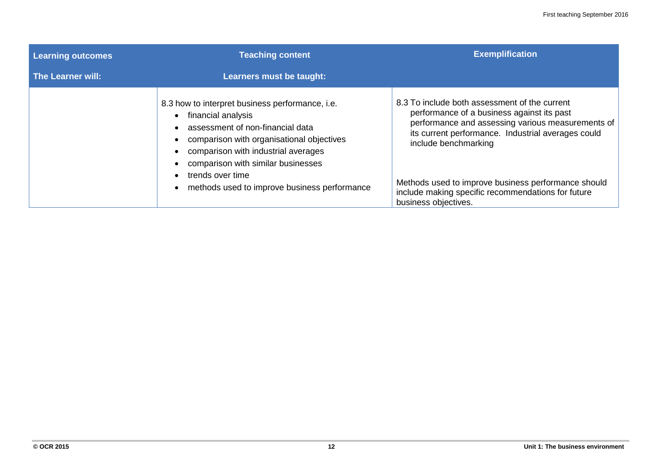| <b>Learning outcomes</b> | <b>Teaching content</b>                                                                                                                                                                                                                                 | <b>Exemplification</b>                                                                                                                                                                                                                                                                |
|--------------------------|---------------------------------------------------------------------------------------------------------------------------------------------------------------------------------------------------------------------------------------------------------|---------------------------------------------------------------------------------------------------------------------------------------------------------------------------------------------------------------------------------------------------------------------------------------|
| The Learner will:        | Learners must be taught:                                                                                                                                                                                                                                |                                                                                                                                                                                                                                                                                       |
|                          | 8.3 how to interpret business performance, i.e.<br>financial analysis<br>assessment of non-financial data<br>comparison with organisational objectives<br>comparison with industrial averages<br>comparison with similar businesses<br>trends over time | 8.3 To include both assessment of the current<br>performance of a business against its past<br>performance and assessing various measurements of<br>its current performance. Industrial averages could<br>include benchmarking<br>Methods used to improve business performance should |
|                          | methods used to improve business performance                                                                                                                                                                                                            | include making specific recommendations for future<br>business objectives.                                                                                                                                                                                                            |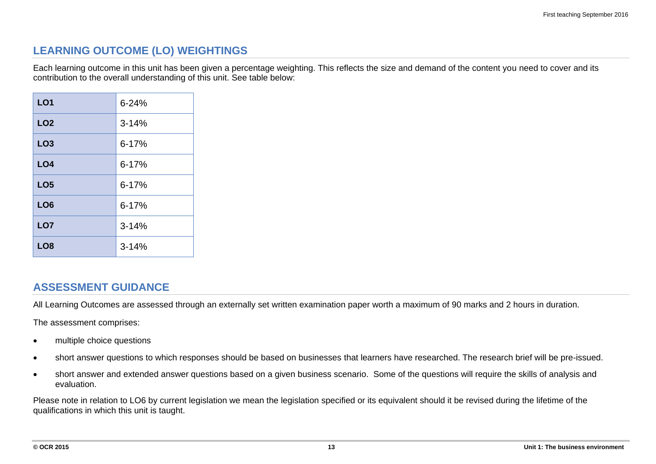#### **LEARNING OUTCOME (LO) WEIGHTINGS**

Each learning outcome in this unit has been given a percentage weighting. This reflects the size and demand of the content you need to cover and its contribution to the overall understanding of this unit. See table below:

| LO <sub>1</sub> | $6 - 24%$ |
|-----------------|-----------|
| LO <sub>2</sub> | $3 - 14%$ |
| LO <sub>3</sub> | $6 - 17%$ |
| LO <sub>4</sub> | $6 - 17%$ |
| LO <sub>5</sub> | $6 - 17%$ |
| LO <sub>6</sub> | $6 - 17%$ |
| LO <sub>7</sub> | $3 - 14%$ |
| LO <sub>8</sub> | $3 - 14%$ |

#### **ASSESSMENT GUIDANCE**

All Learning Outcomes are assessed through an externally set written examination paper worth a maximum of 90 marks and 2 hours in duration.

The assessment comprises:

- multiple choice questions
- short answer questions to which responses should be based on businesses that learners have researched. The research brief will be pre-issued.
- short answer and extended answer questions based on a given business scenario. Some of the questions will require the skills of analysis and evaluation.

Please note in relation to LO6 by current legislation we mean the legislation specified or its equivalent should it be revised during the lifetime of the qualifications in which this unit is taught.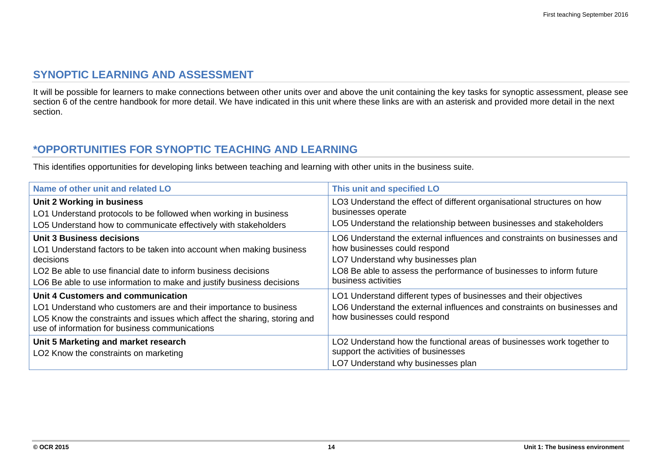#### **SYNOPTIC LEARNING AND ASSESSMENT**

It will be possible for learners to make connections between other units over and above the unit containing the key tasks for synoptic assessment, please see section 6 of the centre handbook for more detail. We have indicated in this unit where these links are with an asterisk and provided more detail in the next section.

#### **\*OPPORTUNITIES FOR SYNOPTIC TEACHING AND LEARNING**

This identifies opportunities for developing links between teaching and learning with other units in the business suite.

| Name of other unit and related LO                                                                                                                                                                                                                                | This unit and specified LO                                                                                                                                                                                                                    |
|------------------------------------------------------------------------------------------------------------------------------------------------------------------------------------------------------------------------------------------------------------------|-----------------------------------------------------------------------------------------------------------------------------------------------------------------------------------------------------------------------------------------------|
| Unit 2 Working in business<br>LO1 Understand protocols to be followed when working in business<br>LO5 Understand how to communicate effectively with stakeholders                                                                                                | LO3 Understand the effect of different organisational structures on how<br>businesses operate<br>LO5 Understand the relationship between businesses and stakeholders                                                                          |
| <b>Unit 3 Business decisions</b><br>LO1 Understand factors to be taken into account when making business<br>decisions<br>LO2 Be able to use financial date to inform business decisions<br>LO6 Be able to use information to make and justify business decisions | LO6 Understand the external influences and constraints on businesses and<br>how businesses could respond<br>LO7 Understand why businesses plan<br>LO8 Be able to assess the performance of businesses to inform future<br>business activities |
| Unit 4 Customers and communication<br>LO1 Understand who customers are and their importance to business<br>LO5 Know the constraints and issues which affect the sharing, storing and<br>use of information for business communications                           | LO1 Understand different types of businesses and their objectives<br>LO6 Understand the external influences and constraints on businesses and<br>how businesses could respond                                                                 |
| Unit 5 Marketing and market research<br>LO2 Know the constraints on marketing                                                                                                                                                                                    | LO2 Understand how the functional areas of businesses work together to<br>support the activities of businesses<br>LO7 Understand why businesses plan                                                                                          |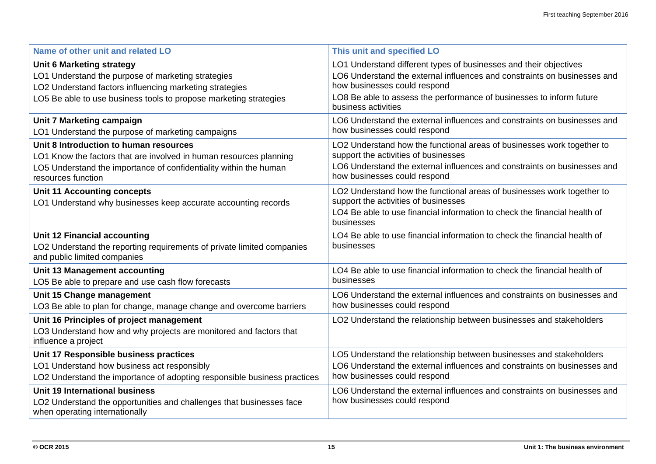| Name of other unit and related LO                                                                                                                                                                                      | This unit and specified LO                                                                                                                                                                                                                                                   |
|------------------------------------------------------------------------------------------------------------------------------------------------------------------------------------------------------------------------|------------------------------------------------------------------------------------------------------------------------------------------------------------------------------------------------------------------------------------------------------------------------------|
| <b>Unit 6 Marketing strategy</b><br>LO1 Understand the purpose of marketing strategies<br>LO2 Understand factors influencing marketing strategies<br>LO5 Be able to use business tools to propose marketing strategies | LO1 Understand different types of businesses and their objectives<br>LO6 Understand the external influences and constraints on businesses and<br>how businesses could respond<br>LO8 Be able to assess the performance of businesses to inform future<br>business activities |
| Unit 7 Marketing campaign<br>LO1 Understand the purpose of marketing campaigns                                                                                                                                         | LO6 Understand the external influences and constraints on businesses and<br>how businesses could respond                                                                                                                                                                     |
| Unit 8 Introduction to human resources<br>LO1 Know the factors that are involved in human resources planning<br>LO5 Understand the importance of confidentiality within the human<br>resources function                | LO2 Understand how the functional areas of businesses work together to<br>support the activities of businesses<br>LO6 Understand the external influences and constraints on businesses and<br>how businesses could respond                                                   |
| <b>Unit 11 Accounting concepts</b><br>LO1 Understand why businesses keep accurate accounting records                                                                                                                   | LO2 Understand how the functional areas of businesses work together to<br>support the activities of businesses<br>LO4 Be able to use financial information to check the financial health of<br>businesses                                                                    |
| <b>Unit 12 Financial accounting</b><br>LO2 Understand the reporting requirements of private limited companies<br>and public limited companies                                                                          | LO4 Be able to use financial information to check the financial health of<br>businesses                                                                                                                                                                                      |
| Unit 13 Management accounting<br>LO5 Be able to prepare and use cash flow forecasts                                                                                                                                    | LO4 Be able to use financial information to check the financial health of<br>businesses                                                                                                                                                                                      |
| Unit 15 Change management<br>LO3 Be able to plan for change, manage change and overcome barriers                                                                                                                       | LO6 Understand the external influences and constraints on businesses and<br>how businesses could respond                                                                                                                                                                     |
| Unit 16 Principles of project management<br>LO3 Understand how and why projects are monitored and factors that<br>influence a project                                                                                  | LO2 Understand the relationship between businesses and stakeholders                                                                                                                                                                                                          |
| Unit 17 Responsible business practices<br>LO1 Understand how business act responsibly<br>LO2 Understand the importance of adopting responsible business practices                                                      | LO5 Understand the relationship between businesses and stakeholders<br>LO6 Understand the external influences and constraints on businesses and<br>how businesses could respond                                                                                              |
| <b>Unit 19 International business</b><br>LO2 Understand the opportunities and challenges that businesses face<br>when operating internationally                                                                        | LO6 Understand the external influences and constraints on businesses and<br>how businesses could respond                                                                                                                                                                     |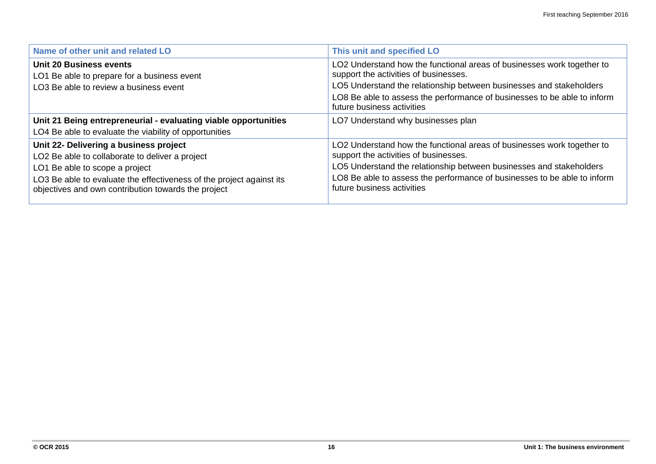| Name of other unit and related LO                                                                                                                                                                                                                          | This unit and specified LO                                                                                                                                                                                                                                                                       |
|------------------------------------------------------------------------------------------------------------------------------------------------------------------------------------------------------------------------------------------------------------|--------------------------------------------------------------------------------------------------------------------------------------------------------------------------------------------------------------------------------------------------------------------------------------------------|
| Unit 20 Business events<br>LO1 Be able to prepare for a business event<br>LO3 Be able to review a business event                                                                                                                                           | LO2 Understand how the functional areas of businesses work together to<br>support the activities of businesses.<br>LO5 Understand the relationship between businesses and stakeholders<br>LO8 Be able to assess the performance of businesses to be able to inform<br>future business activities |
| Unit 21 Being entrepreneurial - evaluating viable opportunities<br>LO4 Be able to evaluate the viability of opportunities                                                                                                                                  | LO7 Understand why businesses plan                                                                                                                                                                                                                                                               |
| Unit 22- Delivering a business project<br>LO2 Be able to collaborate to deliver a project<br>LO1 Be able to scope a project<br>LO3 Be able to evaluate the effectiveness of the project against its<br>objectives and own contribution towards the project | LO2 Understand how the functional areas of businesses work together to<br>support the activities of businesses.<br>LO5 Understand the relationship between businesses and stakeholders<br>LO8 Be able to assess the performance of businesses to be able to inform<br>future business activities |